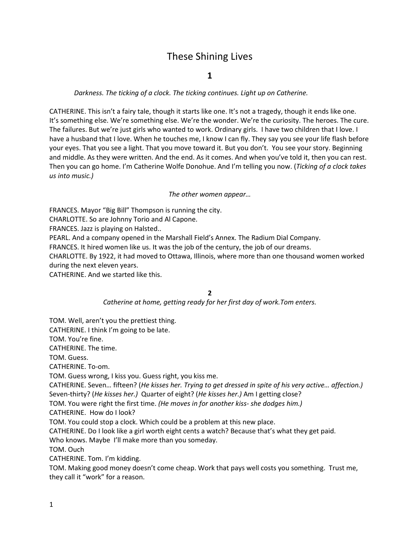# These Shining Lives

## **1**

## *Darkness. The ticking of a clock. The ticking continues. Light up on Catherine.*

CATHERINE. This isn't a fairy tale, though it starts like one. It's not a tragedy, though it ends like one. It's something else. We're something else. We're the wonder. We're the curiosity. The heroes. The cure. The failures. But we're just girls who wanted to work. Ordinary girls. I have two children that I love. I have a husband that I love. When he touches me, I know I can fly. They say you see your life flash before your eyes. That you see a light. That you move toward it. But you don't. You see your story. Beginning and middle. As they were written. And the end. As it comes. And when you've told it, then you can rest. Then you can go home. I'm Catherine Wolfe Donohue. And I'm telling you now. (*Ticking of a clock takes us into music.)*

## *The other women appear…*

FRANCES. Mayor "Big Bill" Thompson is running the city. CHARLOTTE. So are Johnny Torio and Al Capone. FRANCES. Jazz is playing on Halsted.. PEARL. And a company opened in the Marshall Field's Annex. The Radium Dial Company. FRANCES. It hired women like us. It was the job of the century, the job of our dreams. CHARLOTTE. By 1922, it had moved to Ottawa, Illinois, where more than one thousand women worked during the next eleven years.

CATHERINE. And we started like this.

**2**

*Catherine at home, getting ready for her first day of work.Tom enters.*

TOM. Well, aren't you the prettiest thing.

CATHERINE. I think I'm going to be late.

TOM. You're fine.

CATHERINE. The time.

TOM. Guess.

CATHERINE. To-om.

TOM. Guess wrong, I kiss you. Guess right, you kiss me.

CATHERINE. Seven… fifteen? (*He kisses her. Trying to get dressed in spite of his very active… affection.)*  Seven-thirty? (*He kisses her.)* Quarter of eight? (*He kisses her.)* Am I getting close?

TOM. You were right the first time. *(He moves in for another kiss- she dodges him.)*

CATHERINE. How do I look?

TOM. You could stop a clock. Which could be a problem at this new place.

CATHERINE. Do I look like a girl worth eight cents a watch? Because that's what they get paid.

Who knows. Maybe I'll make more than you someday.

TOM. Ouch

CATHERINE. Tom. I'm kidding.

TOM. Making good money doesn't come cheap. Work that pays well costs you something. Trust me, they call it "work" for a reason.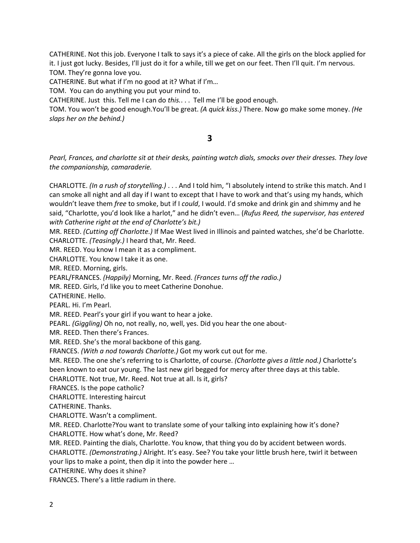CATHERINE. Not this job. Everyone I talk to says it's a piece of cake. All the girls on the block applied for it. I just got lucky. Besides, I'll just do it for a while, till we get on our feet. Then I'll quit. I'm nervous. TOM. They're gonna love you.

CATHERINE. But what if I'm no good at it? What if I'm…

TOM. You can do anything you put your mind to.

CATHERINE. Just this. Tell me I can do *this.*. . . Tell me I'll be good enough.

TOM. You won't be good enough.You'll be great. *(A quick kiss.)* There. Now go make some money. *(He slaps her on the behind.)*

# **3**

*Pearl, Frances, and charlotte sit at their desks, painting watch dials, smocks over their dresses. They love the companionship, camaraderie.*

CHARLOTTE. *(In a rush of storytelling.)* . . . And I told him, "I absolutely intend to strike this match. And I can smoke all night and all day if I want to except that I have to work and that's using my hands, which wouldn't leave them *free* to smoke, but if I *could*, I would. I'd smoke and drink gin and shimmy and he said, "Charlotte, you'd look like a harlot," and he didn't even… (*Rufus Reed, the supervisor, has entered with Catherine right at the end of Charlotte's bit.)*

MR. REED. *(Cutting off Charlotte.)* If Mae West lived in Illinois and painted watches, she'd be Charlotte. CHARLOTTE. *(Teasingly.)* I heard that, Mr. Reed.

MR. REED. You know I mean it as a compliment.

CHARLOTTE. You know I take it as one.

MR. REED. Morning, girls.

PEARL/FRANCES. *(Happily)* Morning, Mr. Reed. *(Frances turns off the radio.)*

MR. REED. Girls, I'd like you to meet Catherine Donohue.

CATHERINE. Hello.

PEARL. Hi. I'm Pearl.

MR. REED. Pearl's your girl if you want to hear a joke.

PEARL. *(Giggling)* Oh no, not really, no, well, yes. Did you hear the one about-

MR. REED. Then there's Frances.

MR. REED. She's the moral backbone of this gang.

FRANCES. *(With a nod towards Charlotte.)* Got my work cut out for me.

MR. REED. The one she's referring to is Charlotte, of course. *(Charlotte gives a little nod.)* Charlotte's been known to eat our young. The last new girl begged for mercy after three days at this table.

CHARLOTTE. Not true, Mr. Reed. Not true at all. Is it, girls?

FRANCES. Is the pope catholic?

CHARLOTTE. Interesting haircut

CATHERINE. Thanks.

CHARLOTTE. Wasn't a compliment.

MR. REED. Charlotte?You want to translate some of your talking into explaining how it's done? CHARLOTTE. How what's done, Mr. Reed?

MR. REED. Painting the dials, Charlotte. You know, that thing you do by accident between words.

CHARLOTTE. *(Demonstrating.)* Alright. It's easy. See? You take your little brush here, twirl it between your lips to make a point, then dip it into the powder here …

CATHERINE. Why does it shine?

FRANCES. There's a little radium in there.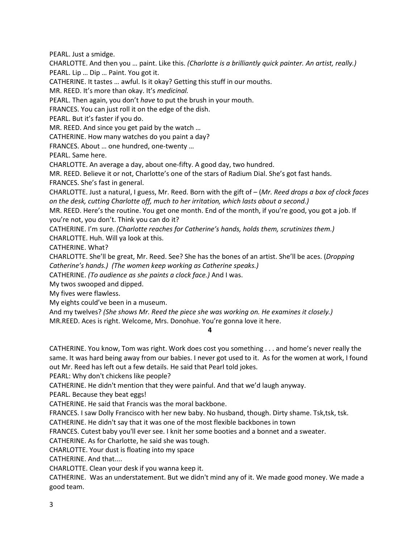PEARL. Just a smidge.

CHARLOTTE. And then you … paint. Like this. *(Charlotte is a brilliantly quick painter. An artist, really.)* PEARL. Lip … Dip … Paint. You got it.

CATHERINE. It tastes … awful. Is it okay? Getting this stuff in our mouths.

MR. REED. It's more than okay. It's *medicinal.*

PEARL. Then again, you don't *have* to put the brush in your mouth.

FRANCES. You can just roll it on the edge of the dish.

PEARL. But it's faster if you do.

MR. REED. And since you get paid by the watch …

CATHERINE. How many watches do you paint a day?

FRANCES. About … one hundred, one-twenty …

PEARL. Same here.

CHARLOTTE. An average a day, about one-fifty. A good day, two hundred.

MR. REED. Believe it or not, Charlotte's one of the stars of Radium Dial. She's got fast hands. FRANCES. She's fast in general.

CHARLOTTE. Just a natural, I guess, Mr. Reed. Born with the gift of – (*Mr. Reed drops a box of clock faces on the desk, cutting Charlotte off, much to her irritation, which lasts about a second.)*

MR. REED. Here's the routine. You get one month. End of the month, if you're good, you got a job. If you're not, you don't. Think you can do it?

CATHERINE. I'm sure. *(Charlotte reaches for Catherine's hands, holds them, scrutinizes them.)*

CHARLOTTE. Huh. Will ya look at this.

CATHERINE. What?

CHARLOTTE. She'll be great, Mr. Reed. See? She has the bones of an artist. She'll be aces. (*Dropping Catherine's hands.) (The women keep working as Catherine speaks.)*

CATHERINE. *(To audience as she paints a clock face.)* And I was.

My twos swooped and dipped.

My fives were flawless.

My eights could've been in a museum.

And my twelves? *(She shows Mr. Reed the piece she was working on. He examines it closely.)*

MR.REED. Aces is right. Welcome, Mrs. Donohue. You're gonna love it here.

**4**

CATHERINE. You know, Tom was right. Work does cost you something . . . and home's never really the same. It was hard being away from our babies. I never got used to it. As for the women at work, I found out Mr. Reed has left out a few details. He said that Pearl told jokes.

PEARL: Why don't chickens like people?

CATHERINE. He didn't mention that they were painful. And that we'd laugh anyway.

PEARL. Because they beat eggs!

CATHERINE. He said that Francis was the moral backbone.

FRANCES. I saw Dolly Francisco with her new baby. No husband, though. Dirty shame. Tsk,tsk, tsk.

CATHERINE. He didn't say that it was one of the most flexible backbones in town

FRANCES. Cutest baby you'll ever see. I knit her some booties and a bonnet and a sweater.

CATHERINE. As for Charlotte, he said she was tough.

CHARLOTTE. Your dust is floating into my space

CATHERINE. And that....

CHARLOTTE. Clean your desk if you wanna keep it.

CATHERINE. Was an understatement. But we didn't mind any of it. We made good money. We made a good team.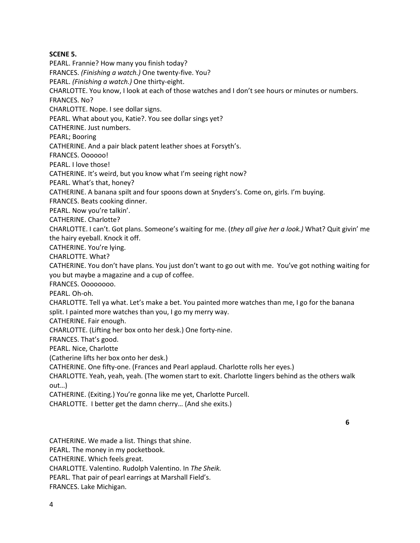## **SCENE 5.**

PEARL. Frannie? How many you finish today?

FRANCES. *(Finishing a watch.)* One twenty-five. You?

PEARL. *(Finishing a watch.)* One thirty-eight.

CHARLOTTE. You know, I look at each of those watches and I don't see hours or minutes or numbers.

FRANCES. No?

CHARLOTTE. Nope. I see dollar signs.

PEARL. What about you, Katie?. You see dollar sings yet?

CATHERINE. Just numbers.

PEARL; Booring

CATHERINE. And a pair black patent leather shoes at Forsyth's.

FRANCES. Oooooo!

PEARL. I love those!

CATHERINE. It's weird, but you know what I'm seeing right now?

PEARL. What's that, honey?

CATHERINE. A banana spilt and four spoons down at Snyders's. Come on, girls. I'm buying.

FRANCES. Beats cooking dinner.

PEARL. Now you're talkin'.

CATHERINE. Charlotte?

CHARLOTTE. I can't. Got plans. Someone's waiting for me. (*they all give her a look.)* What? Quit givin' me the hairy eyeball. Knock it off.

CATHERINE. You're lying.

CHARLOTTE. What?

CATHERINE. You don't have plans. You just don't want to go out with me. You've got nothing waiting for you but maybe a magazine and a cup of coffee.

FRANCES. Oooooooo.

PEARL. Oh-oh.

CHARLOTTE. Tell ya what. Let's make a bet. You painted more watches than me, I go for the banana split. I painted more watches than you, I go my merry way.

CATHERINE. Fair enough.

CHARLOTTE. (Lifting her box onto her desk.) One forty-nine.

FRANCES. That's good.

PEARL. Nice, Charlotte

(Catherine lifts her box onto her desk.)

CATHERINE. One fifty-one. (Frances and Pearl applaud. Charlotte rolls her eyes.)

CHARLOTTE. Yeah, yeah, yeah. (The women start to exit. Charlotte lingers behind as the others walk out…)

CATHERINE. (Exiting.) You're gonna like me yet, Charlotte Purcell.

CHARLOTTE. I better get the damn cherry… (And she exits.)

**6**

CATHERINE. We made a list. Things that shine. PEARL. The money in my pocketbook. CATHERINE. Which feels great. CHARLOTTE. Valentino. Rudolph Valentino. In *The Sheik.* PEARL. That pair of pearl earrings at Marshall Field's. FRANCES. Lake Michigan.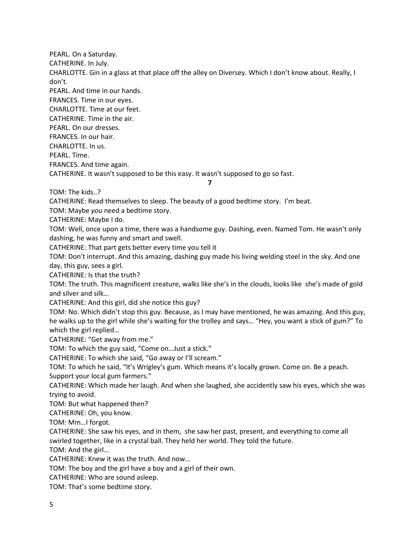PEARL. On a Saturday. CATHERINE. In July. CHARLOTTE. Gin in a glass at that place off the alley on Diversey. Which I don't know about. Really, I don't. PEARL. And time in our hands. FRANCES. Time in our eyes. CHARLOTTE. Time at our feet. CATHERINE. Time in the air. PEARL. On our dresses. FRANCES. In our hair. CHARLOTTE. In us. PEARL. Time. FRANCES. And time again. CATHERINE. It wasn't supposed to be this easy. It wasn't supposed to go so fast. **7** TOM: The kids..? CATHERINE: Read themselves to sleep. The beauty of a good bedtime story. I'm beat. TOM: Maybe *you* need a bedtime story. CATHERINE: Maybe I do. TOM: Well, once upon a time, there was a handsome guy. Dashing, even. Named Tom. He wasn't only dashing, he was funny and smart and swell. CATHERINE: That part gets better every time you tell it TOM: Don't interrupt. And this amazing, dashing guy made his living welding steel in the sky. And one day, this guy, sees a girl. CATHERINE: Is that the truth? TOM: The truth. This magnificent creature, walks like she's in the clouds, looks like she's made of gold and silver and silk… CATHERINE: And this girl, did she notice this guy? TOM: No. Which didn't stop this guy. Because, as I may have mentioned, he was amazing. And this guy, he walks up to the girl while she's waiting for the trolley and says… "Hey, you want a stick of gum?" To which the girl replied… CATHERINE: "Get away from me." TOM: To which the guy said, "Come on…Just a stick." CATHERINE: To which she said, "Go away or I'll scream." TOM: To which he said, "It's Wrigley's gum. Which means it's locally grown. Come on. Be a peach. Support your local gum farmers." CATHERINE: Which made her laugh. And when she laughed, she accidently saw his eyes, which she was trying to avoid. TOM: But what happened then? CATHERINE: Oh, you know. TOM: Mm…I forgot. CATHERINE: She saw his eyes, and in them, she saw her past, present, and everything to come all swirled together, like in a crystal ball. They held her world. They told the future. TOM: And the girl… CATHERINE: Knew it was the truth. And now… TOM: The boy and the girl have a boy and a girl of their own. CATHERINE: Who are sound asleep. TOM: That's some bedtime story.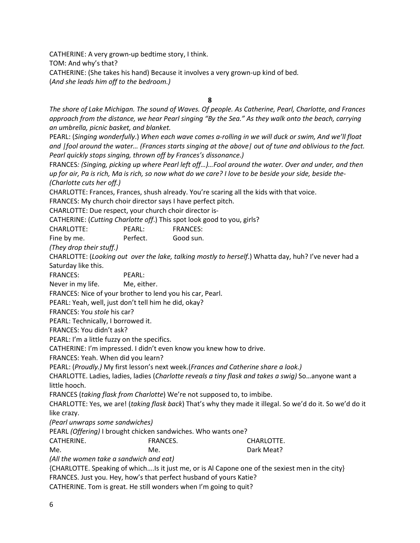CATHERINE: A very grown-up bedtime story, I think. TOM: And why's that? CATHERINE: (She takes his hand) Because it involves a very grown-up kind of bed. (*And she leads him off to the bedroom.)*

**8**

*The shore of Lake Michigan. The sound of Waves. Of people. As Catherine, Pearl, Charlotte, and Frances approach from the distance, we hear Pearl singing "By the Sea." As they walk onto the beach, carrying an umbrella, picnic basket, and blanket.* 

PEARL: (*Singing wonderfully*.) *When each wave comes a-rolling in we will duck or swim, And we'll float and |fool around the water… (Frances starts singing at the above| out of tune and oblivious to the fact. Pearl quickly stops singing, thrown off by Frances's dissonance.)* 

FRANCES*: (Singing, picking up where Pearl left off…)…Fool around the water. Over and under, and then up for air, Pa is rich, Ma is rich, so now what do we care? I love to be beside your side, beside the- (Charlotte cuts her off.)*

CHARLOTTE: Frances, Frances, shush already. You're scaring all the kids with that voice.

FRANCES: My church choir director says I have perfect pitch.

CHARLOTTE: Due respect, your church choir director is-

CATHERINE: (*Cutting Charlotte off*.) This spot look good to you, girls?

CHARLOTTE: PEARL: FRANCES:

Fine by me. **Perfect.** Good sun.

*(They drop their stuff.)*

CHARLOTTE: (*Looking out over the lake, talking mostly to herself*.) Whatta day, huh? I've never had a Saturday like this.

FRANCES: PEARL:

Never in my life. Me, either.

FRANCES: Nice of your brother to lend you his car, Pearl.

PEARL: Yeah, well, just don't tell him he did, okay?

FRANCES: You *stole* his car?

PEARL: Technically, I borrowed it.

FRANCES: You didn't ask?

PEARL: I'm a little fuzzy on the specifics.

CATHERINE: I'm impressed. I didn't even know you knew how to drive.

FRANCES: Yeah. When did you learn?

PEARL: (*Proudly.)* My first lesson's next week.(*Frances and Catherine share a look.)*

CHARLOTTE. Ladies, ladies, ladies (*Charlotte reveals a tiny flask and takes a swig)* So…anyone want a little hooch.

FRANCES (*taking flask from Charlotte*) We're not supposed to, to imbibe.

CHARLOTTE: Yes, we are! (*taking flask back*) That's why they made it illegal. So we'd do it. So we'd do it like crazy.

*(Pearl unwraps some sandwiches)*

PEARL *(Offering)* I brought chicken sandwiches. Who wants one?

CATHERINE. FRANCES. CHARLOTTE.

Me. Ne. **Me.** No. 2006 **Dark Meat?** 

*(All the women take a sandwich and eat)*

{CHARLOTTE. Speaking of which….Is it just me, or is Al Capone one of the sexiest men in the city} FRANCES. Just you. Hey, how's that perfect husband of yours Katie?

CATHERINE. Tom is great. He still wonders when I'm going to quit?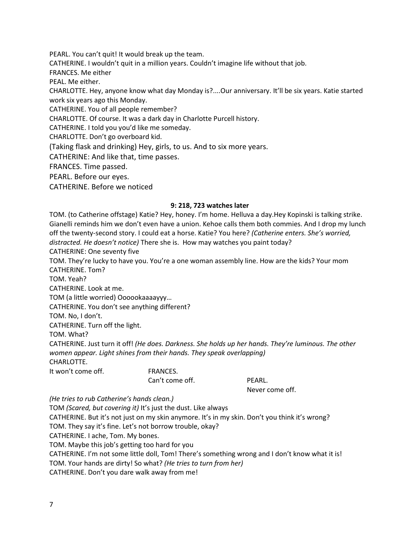PEARL. You can't quit! It would break up the team. CATHERINE. I wouldn't quit in a million years. Couldn't imagine life without that job. FRANCES. Me either PEAL. Me either. CHARLOTTE. Hey, anyone know what day Monday is?....Our anniversary. It'll be six years. Katie started work six years ago this Monday. CATHERINE. You of all people remember? CHARLOTTE. Of course. It was a dark day in Charlotte Purcell history. CATHERINE. I told you you'd like me someday.

CHARLOTTE. Don't go overboard kid.

(Taking flask and drinking) Hey, girls, to us. And to six more years.

CATHERINE: And like that, time passes.

FRANCES. Time passed.

PEARL. Before our eyes.

CATHERINE. Before we noticed

#### **9: 218, 723 watches later**

TOM. (to Catherine offstage) Katie? Hey, honey. I'm home. Helluva a day.Hey Kopinski is talking strike. Gianelli reminds him we don't even have a union. Kehoe calls them both commies. And I drop my lunch off the twenty-second story. I could eat a horse. Katie? You here? *(Catherine enters. She's worried, distracted. He doesn't notice)* There she is. How may watches you paint today? CATHERINE: One seventy five TOM. They're lucky to have you. You're a one woman assembly line. How are the kids? Your mom CATHERINE. Tom? TOM. Yeah? CATHERINE. Look at me. TOM (a little worried) Oooookaaaayyy… CATHERINE. You don't see anything different? TOM. No, I don't. CATHERINE. Turn off the light. TOM. What? CATHERINE. Just turn it off! *(He does. Darkness. She holds up her hands. They're luminous. The other women appear. Light shines from their hands. They speak overlapping)* CHARLOTTE. It won't come off. FRANCES. Can't come off. PEARL. Never come off. *(He tries to rub Catherine's hands clean.)*

TOM *(Scared, but covering it)* It's just the dust. Like always

CATHERINE. But it's not just on my skin anymore. It's in my skin. Don't you think it's wrong?

TOM. They say it's fine. Let's not borrow trouble, okay?

CATHERINE. I ache, Tom. My bones.

TOM. Maybe this job's getting too hard for you

CATHERINE. I'm not some little doll, Tom! There's something wrong and I don't know what it is!

TOM. Your hands are dirty! So what? *(He tries to turn from her)*

CATHERINE. Don't you dare walk away from me!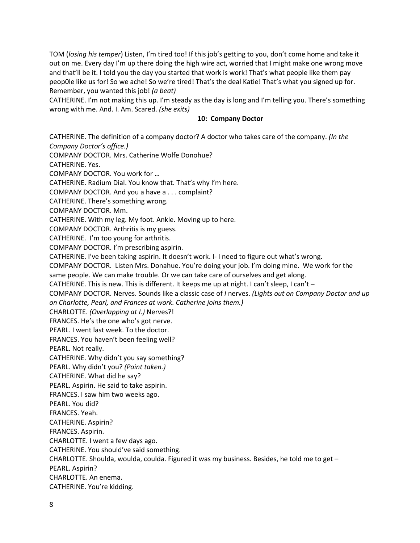TOM (*losing his temper*) Listen, I'm tired too! If this job's getting to you, don't come home and take it out on me. Every day I'm up there doing the high wire act, worried that I might make one wrong move and that'll be it. I told you the day you started that work is work! That's what people like them pay peop0le like us for! So we ache! So we're tired! That's the deal Katie! That's what you signed up for. Remember, you wanted this job! *(a beat)*

CATHERINE. I'm not making this up. I'm steady as the day is long and I'm telling you. There's something wrong with me. And. I. Am. Scared. *(she exits)*

#### **10: Company Doctor**

CATHERINE. The definition of a company doctor? A doctor who takes care of the company. *(In the Company Doctor's office.)* COMPANY DOCTOR. Mrs. Catherine Wolfe Donohue? CATHERINE. Yes. COMPANY DOCTOR. You work for … CATHERINE. Radium Dial. You know that. That's why I'm here. COMPANY DOCTOR. And you a have a . . . complaint? CATHERINE. There's something wrong. COMPANY DOCTOR. Mm. CATHERINE. With my leg. My foot. Ankle. Moving up to here. COMPANY DOCTOR. Arthritis is my guess. CATHERINE. I'm too young for arthritis. COMPANY DOCTOR. I'm prescribing aspirin. CATHERINE. I've been taking aspirin. It doesn't work. I- I need to figure out what's wrong. COMPANY DOCTOR. Listen Mrs. Donahue. You're doing your job. I'm doing mine. We work for the same people. We can make trouble. Or we can take care of ourselves and get along. CATHERINE. This is new. This is different. It keeps me up at night. I can't sleep, I can't – COMPANY DOCTOR. Nerves. Sounds like a classic case of *I* nerves. *(Lights out on Company Doctor and up on Charlotte, Pearl, and Frances at work. Catherine joins them.)* CHARLOTTE. *(Overlapping at I.)* Nerves?! FRANCES. He's the one who's got nerve. PEARL. I went last week. To the doctor. FRANCES. You haven't been feeling well? PEARL. Not really. CATHERINE. Why didn't you say something? PEARL. Why didn't you? *(Point taken.)* CATHERINE. What did he say? PEARL. Aspirin. He said to take aspirin. FRANCES. I saw him two weeks ago. PEARL. You did? FRANCES. Yeah. CATHERINE. Aspirin? FRANCES. Aspirin. CHARLOTTE. I went a few days ago. CATHERINE. You should've said something. CHARLOTTE. Shoulda, woulda, coulda. Figured it was my business. Besides, he told me to get – PEARL. Aspirin? CHARLOTTE. An enema. CATHERINE. You're kidding.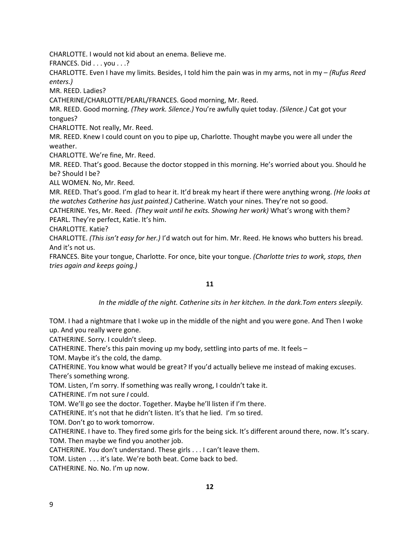CHARLOTTE. I would not kid about an enema. Believe me.

FRANCES. Did . . . you . . .?

CHARLOTTE. Even I have my limits. Besides, I told him the pain was in my arms, not in my – *(Rufus Reed enters.)* 

MR. REED. Ladies?

CATHERINE/CHARLOTTE/PEARL/FRANCES. Good morning, Mr. Reed.

MR. REED. Good morning. *(They work. Silence.)* You're awfully quiet today. *(Silence.)* Cat got your tongues?

CHARLOTTE. Not really, Mr. Reed.

MR. REED. Knew I could count on you to pipe up, Charlotte. Thought maybe you were all under the weather.

CHARLOTTE. We're fine, Mr. Reed.

MR. REED. That's good. Because the doctor stopped in this morning. He's worried about you. Should he be? Should I be?

ALL WOMEN. No, Mr. Reed.

MR. REED. That's good. I'm glad to hear it. It'd break my heart if there were anything wrong. *(He looks at the watches Catherine has just painted.)* Catherine. Watch your nines. They're not so good.

CATHERINE. Yes, Mr. Reed. *(They wait until he exits. Showing her work)* What's wrong with them? PEARL. They're perfect, Katie. It's him.

CHARLOTTE. Katie?

CHARLOTTE. *(This isn't easy for her.)* I'd watch out for him. Mr. Reed. He knows who butters his bread. And it's not us.

FRANCES. Bite your tongue, Charlotte. For once, bite your tongue. *(Charlotte tries to work, stops, then tries again and keeps going.)*

## **11**

*In the middle of the night. Catherine sits in her kitchen. In the dark.Tom enters sleepily.* 

TOM. I had a nightmare that I woke up in the middle of the night and you were gone. And Then I woke up. And you really were gone.

CATHERINE. Sorry. I couldn't sleep.

CATHERINE. There's this pain moving up my body, settling into parts of me. It feels –

TOM. Maybe it's the cold, the damp.

CATHERINE. You know what would be great? If you'd actually believe me instead of making excuses. There's something wrong.

TOM. Listen, I'm sorry. If something was really wrong, I couldn't take it.

CATHERINE. I'm not sure *I* could.

TOM. We'll go see the doctor. Together. Maybe he'll listen if I'm there.

CATHERINE. It's not that he didn't listen. It's that he lied. I'm so tired.

TOM. Don't go to work tomorrow.

CATHERINE. I have to. They fired some girls for the being sick. It's different around there, now. It's scary. TOM. Then maybe we find you another job.

CATHERINE. *You* don't understand. These girls . . . I can't leave them.

TOM. Listen . . . it's late. We're both beat. Come back to bed.

CATHERINE. No. No. I'm up now.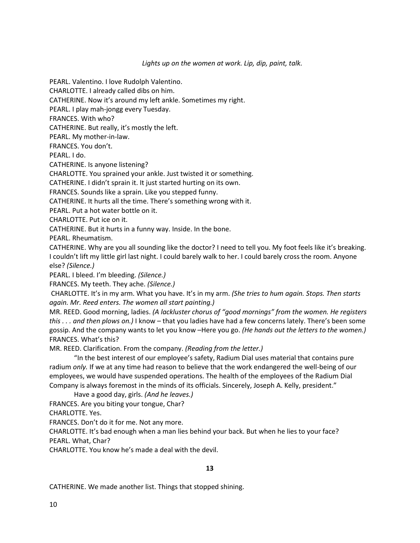*Lights up on the women at work. Lip, dip, paint, talk.*

PEARL. Valentino. I love Rudolph Valentino.

CHARLOTTE. I already called dibs on him.

CATHERINE. Now it's around my left ankle. Sometimes my right.

PEARL. I play mah-jongg every Tuesday.

FRANCES. With who?

CATHERINE. But really, it's mostly the left.

PEARL. My mother-in-law.

FRANCES. You don't.

PEARL. I do.

CATHERINE. Is anyone listening?

CHARLOTTE. You sprained your ankle. Just twisted it or something.

CATHERINE. I didn't sprain it. It just started hurting on its own.

FRANCES. Sounds like a sprain. Like you stepped funny.

CATHERINE. It hurts all the time. There's something wrong with it.

PEARL. Put a hot water bottle on it.

CHARLOTTE. Put ice on it.

CATHERINE. But it hurts in a funny way. Inside. In the bone.

PEARL. Rheumatism.

CATHERINE. Why are you all sounding like the doctor? I need to tell you. My foot feels like it's breaking. I couldn't lift my little girl last night. I could barely walk to her. I could barely cross the room. Anyone else? *(Silence.)*

PEARL. I bleed. I'm bleeding. *(Silence.)*

FRANCES. My teeth. They ache. *(Silence.)*

CHARLOTTE. It's in my arm. What you have. It's in my arm. *(She tries to hum again. Stops. Then starts again. Mr. Reed enters. The women all start painting.)*

MR. REED. Good morning, ladies. *(A lackluster chorus of "good mornings" from the women. He registers this . . . and then plows on.)* I know – that you ladies have had a few concerns lately. There's been some gossip. And the company wants to let you know –Here you go. *(He hands out the letters to the women.)* FRANCES. What's this?

MR. REED. Clarification. From the company. *(Reading from the letter.)*

"In the best interest of our employee's safety, Radium Dial uses material that contains pure radium *only.* If we at any time had reason to believe that the work endangered the well-being of our employees, we would have suspended operations. The health of the employees of the Radium Dial Company is always foremost in the minds of its officials. Sincerely, Joseph A. Kelly, president."

Have a good day, girls. *(And he leaves.)*

FRANCES. Are you biting your tongue, Char?

CHARLOTTE. Yes.

FRANCES. Don't do it for me. Not any more.

CHARLOTTE. It's bad enough when a man lies behind your back. But when he lies to your face? PEARL. What, Char?

CHARLOTTE. You know he's made a deal with the devil.

**13**

CATHERINE. We made another list. Things that stopped shining.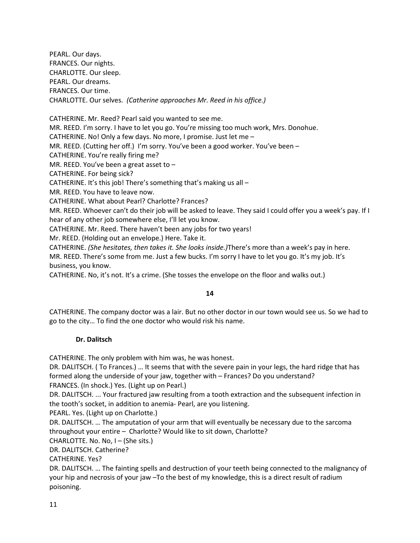PEARL. Our days. FRANCES. Our nights. CHARLOTTE. Our sleep. PEARL. Our dreams. FRANCES. Our time. CHARLOTTE. Our selves. *(Catherine approaches Mr. Reed in his office.)*

CATHERINE. Mr. Reed? Pearl said you wanted to see me. MR. REED. I'm sorry. I have to let you go. You're missing too much work, Mrs. Donohue. CATHERINE. No! Only a few days. No more, I promise. Just let me – MR. REED. (Cutting her off.) I'm sorry. You've been a good worker. You've been – CATHERINE. You're really firing me? MR. REED. You've been a great asset to  $-$ CATHERINE. For being sick? CATHERINE. It's this job! There's something that's making us all  $-$ MR. REED. You have to leave now. CATHERINE. What about Pearl? Charlotte? Frances? MR. REED. Whoever can't do their job will be asked to leave. They said I could offer you a week's pay. If I hear of any other job somewhere else, I'll let you know. CATHERINE. Mr. Reed. There haven't been any jobs for two years! Mr. REED. (Holding out an envelope.) Here. Take it. CATHERINE. *(She hesitates, then takes it. She looks inside.)*There's more than a week's pay in here.

MR. REED. There's some from me. Just a few bucks. I'm sorry I have to let you go. It's my job. It's business, you know.

CATHERINE. No, it's not. It's a crime. (She tosses the envelope on the floor and walks out.)

# **14**

CATHERINE. The company doctor was a lair. But no other doctor in our town would see us. So we had to go to the city… To find the one doctor who would risk his name.

# **Dr. Dalitsch**

CATHERINE. The only problem with him was, he was honest.

DR. DALITSCH. ( To Frances.) … It seems that with the severe pain in your legs, the hard ridge that has formed along the underside of your jaw, together with – Frances? Do you understand?

FRANCES. (In shock.) Yes. (Light up on Pearl.)

DR. DALITSCH. ... Your fractured jaw resulting from a tooth extraction and the subsequent infection in the tooth's socket, in addition to anemia- Pearl, are you listening.

PEARL. Yes. (Light up on Charlotte.)

DR. DALITSCH. … The amputation of your arm that will eventually be necessary due to the sarcoma throughout your entire – Charlotte? Would like to sit down, Charlotte?

CHARLOTTE. No. No, I – (She sits.)

DR. DALITSCH. Catherine?

CATHERINE. Yes?

DR. DALITSCH. … The fainting spells and destruction of your teeth being connected to the malignancy of your hip and necrosis of your jaw –To the best of my knowledge, this is a direct result of radium poisoning.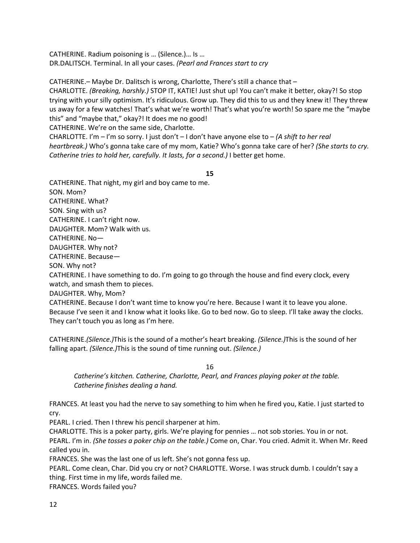CATHERINE. Radium poisoning is … (Silence.)… Is … DR.DALITSCH. Terminal. In all your cases. *(Pearl and Frances start to cry*

CATHERINE.– Maybe Dr. Dalitsch is wrong, Charlotte, There's still a chance that – CHARLOTTE. *(Breaking, harshly.)* STOP IT, KATIE! Just shut up! You can't make it better, okay?! So stop trying with your silly optimism. It's ridiculous. Grow up. They did this to us and they knew it! They threw us away for a few watches! That's what we're worth! That's what you're worth! So spare me the "maybe this" and "maybe that," okay?! It does me no good!

CATHERINE. We're on the same side, Charlotte.

CHARLOTTE. I'm – I'm so sorry. I just don't – I don't have anyone else to – *(A shift to her real heartbreak.)* Who's gonna take care of my mom, Katie? Who's gonna take care of her? *(She starts to cry. Catherine tries to hold her, carefully. It lasts, for a second.)* I better get home.

## **15**

CATHERINE. That night, my girl and boy came to me. SON. Mom? CATHERINE. What? SON. Sing with us? CATHERINE. I can't right now. DAUGHTER. Mom? Walk with us. CATHERINE. No— DAUGHTER. Why not? CATHERINE. Because— SON. Why not? CATHERINE. I have something to do. I'm going to go through the house and find every clock, every watch, and smash them to pieces.

DAUGHTER. Why, Mom?

CATHERINE. Because I don't want time to know you're here. Because I want it to leave you alone. Because I've seen it and I know what it looks like. Go to bed now. Go to sleep. I'll take away the clocks. They can't touch you as long as I'm here.

CATHERINE.*(Silence.)*This is the sound of a mother's heart breaking. *(Silence.)*This is the sound of her falling apart. *(Silence.)*This is the sound of time running out. *(Silence.)*

16

*Catherine's kitchen. Catherine, Charlotte, Pearl, and Frances playing poker at the table. Catherine finishes dealing a hand.*

FRANCES. At least you had the nerve to say something to him when he fired you, Katie. I just started to cry.

PEARL. I cried. Then I threw his pencil sharpener at him.

CHARLOTTE. This is a poker party, girls. We're playing for pennies … not sob stories. You in or not. PEARL. I'm in. *(She tosses a poker chip on the table.)* Come on, Char. You cried. Admit it. When Mr. Reed called you in.

FRANCES. She was the last one of us left. She's not gonna fess up.

PEARL. Come clean, Char. Did you cry or not? CHARLOTTE. Worse. I was struck dumb. I couldn't say a thing. First time in my life, words failed me.

FRANCES. Words failed you?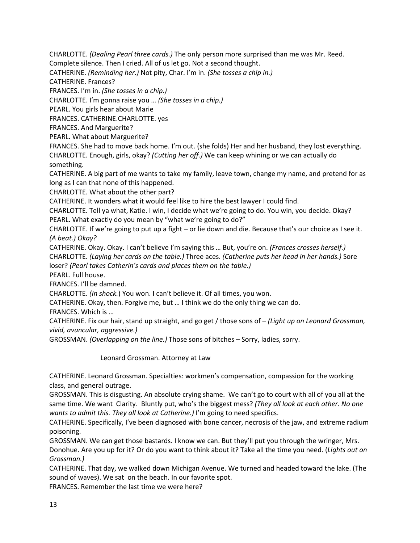CHARLOTTE. *(Dealing Pearl three cards.)* The only person more surprised than me was Mr. Reed.

Complete silence. Then I cried. All of us let go. Not a second thought.

CATHERINE. *(Reminding her.)* Not pity, Char. I'm in. *(She tosses a chip in.)*

CATHERINE. Frances?

FRANCES. I'm in. *(She tosses in a chip.)*

CHARLOTTE. I'm gonna raise you … *(She tosses in a chip.)*

PEARL. You girls hear about Marie

FRANCES. CATHERINE.CHARLOTTE. yes

FRANCES. And Marguerite?

PEARL. What about Marguerite?

FRANCES. She had to move back home. I'm out. (she folds) Her and her husband, they lost everything. CHARLOTTE. Enough, girls, okay? *(Cutting her off.)* We can keep whining or we can actually do something.

CATHERINE. A big part of me wants to take my family, leave town, change my name, and pretend for as long as I can that none of this happened.

CHARLOTTE. What about the other part?

CATHERINE. It wonders what it would feel like to hire the best lawyer I could find.

CHARLOTTE. Tell ya what, Katie. I win, I decide what we're going to do. You win, you decide. Okay? PEARL. What exactly do you mean by "what we're going to do?"

CHARLOTTE. If we're going to put up a fight – or lie down and die. Because that's our choice as I see it. *(A beat.) Okay?*

CATHERINE. Okay. Okay. I can't believe I'm saying this … But, you're on. *(Frances crosses herself.)* CHARLOTTE. *(Laying her cards on the table.)* Three aces. *(Catherine puts her head in her hands.)* Sore loser? *(Pearl takes Catherin's cards and places them on the table.)*

PEARL. Full house.

FRANCES. I'll be damned.

CHARLOTTE. *(In shock.*) You won. I can't believe it. Of all times, you won.

CATHERINE. Okay, then. Forgive me, but … I think we do the only thing we can do.

FRANCES. Which is …

CATHERINE. Fix our hair, stand up straight, and go get / those sons of – *(Light up on Leonard Grossman, vivid, avuncular, aggressive.)*

GROSSMAN. *(Overlapping on the line.)* Those sons of bitches – Sorry, ladies, sorry.

Leonard Grossman. Attorney at Law

CATHERINE. Leonard Grossman. Specialties: workmen's compensation, compassion for the working class, and general outrage.

GROSSMAN. This is disgusting. An absolute crying shame. We can't go to court with all of you all at the same time. We want Clarity. Bluntly put, who's the biggest mess? *(They all look at each other. No one wants to admit this. They all look at Catherine.)* I'm going to need specifics.

CATHERINE. Specifically, I've been diagnosed with bone cancer, necrosis of the jaw, and extreme radium poisoning.

GROSSMAN. We can get those bastards. I know we can. But they'll put you through the wringer, Mrs. Donohue. Are you up for it? Or do you want to think about it? Take all the time you need. (*Lights out on Grossman.)*

CATHERINE. That day, we walked down Michigan Avenue. We turned and headed toward the lake. (The sound of waves). We sat on the beach. In our favorite spot.

FRANCES. Remember the last time we were here?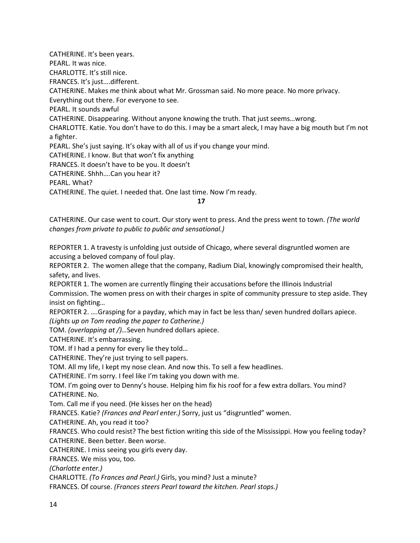CATHERINE. It's been years. PEARL. It was nice. CHARLOTTE. It's still nice. FRANCES. It's just….different. CATHERINE. Makes me think about what Mr. Grossman said. No more peace. No more privacy. Everything out there. For everyone to see. PEARL. It sounds awful CATHERINE. Disappearing. Without anyone knowing the truth. That just seems…wrong. CHARLOTTE. Katie. You don't have to do this. I may be a smart aleck, I may have a big mouth but I'm not a fighter. PEARL. She's just saying. It's okay with all of us if you change your mind. CATHERINE. I know. But that won't fix anything FRANCES. It doesn't have to be you. It doesn't CATHERINE. Shhh….Can you hear it? PEARL. What? CATHERINE. The quiet. I needed that. One last time. Now I'm ready.

**17**

CATHERINE. Our case went to court. Our story went to press. And the press went to town. *(The world changes from private to public to public and sensational.)*

REPORTER 1. A travesty is unfolding just outside of Chicago, where several disgruntled women are accusing a beloved company of foul play.

REPORTER 2. The women allege that the company, Radium Dial, knowingly compromised their health, safety, and lives.

REPORTER 1. The women are currently flinging their accusations before the Illinois Industrial

Commission. The women press on with their charges in spite of community pressure to step aside. They insist on fighting…

REPORTER 2. ….Grasping for a payday, which may in fact be less than/ seven hundred dollars apiece. *(Lights up on Tom reading the paper to Catherine.)*

TOM. *(overlapping at /)…*Seven hundred dollars apiece.

CATHERINE. It's embarrassing.

TOM. If I had a penny for every lie they told…

CATHERINE. They're just trying to sell papers.

TOM. All my life, I kept my nose clean. And now this. To sell a few headlines.

CATHERINE. I'm sorry. I feel like I'm taking you down with me.

TOM. I'm going over to Denny's house. Helping him fix his roof for a few extra dollars. You mind? CATHERINE. No.

Tom. Call me if you need. (He kisses her on the head)

FRANCES. Katie? *(Frances and Pearl enter.)* Sorry, just us "disgruntled" women.

CATHERINE. Ah, you read it too?

FRANCES. Who could resist? The best fiction writing this side of the Mississippi. How you feeling today? CATHERINE. Been better. Been worse.

CATHERINE. I miss seeing you girls every day.

FRANCES. We miss you, too.

*(Charlotte enter.)*

CHARLOTTE. *(To Frances and Pearl.)* Girls, you mind? Just a minute?

FRANCES. Of course. *(Frances steers Pearl toward the kitchen. Pearl stops.)*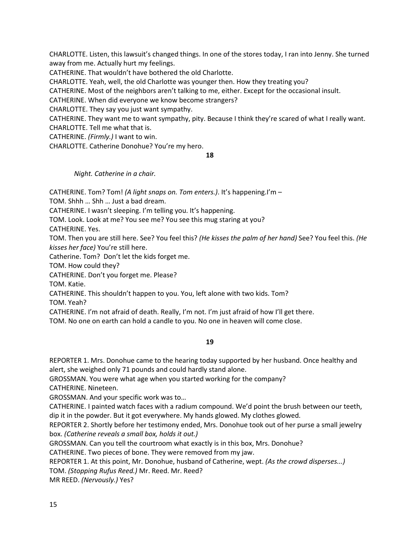CHARLOTTE. Listen, this lawsuit's changed things. In one of the stores today, I ran into Jenny. She turned away from me. Actually hurt my feelings.

CATHERINE. That wouldn't have bothered the old Charlotte.

CHARLOTTE. Yeah, well, the old Charlotte was younger then. How they treating you?

CATHERINE. Most of the neighbors aren't talking to me, either. Except for the occasional insult.

CATHERINE. When did everyone we know become strangers?

CHARLOTTE. They say you just want sympathy.

CATHERINE. They want me to want sympathy, pity. Because I think they're scared of what I really want. CHARLOTTE. Tell me what that is.

CATHERINE. *(Firmly.)* I want to win.

CHARLOTTE. Catherine Donohue? You're my hero.

## **18**

*Night. Catherine in a chair.*

CATHERINE. Tom? Tom! *(A light snaps on. Tom enters.)*. It's happening.I'm –

TOM. Shhh … Shh … Just a bad dream.

CATHERINE. I wasn't sleeping. I'm telling you. It's happening.

TOM. Look. Look at me? You see me? You see this mug staring at you?

CATHERINE. Yes.

TOM. Then you are still here. See? You feel this? *(He kisses the palm of her hand)* See? You feel this. *(He kisses her face)* You're still here.

Catherine. Tom? Don't let the kids forget me.

TOM. How could they?

CATHERINE. Don't you forget me. Please?

TOM. Katie.

CATHERINE. This shouldn't happen to you. You, left alone with two kids. Tom?

TOM. Yeah?

CATHERINE. I'm not afraid of death. Really, I'm not. I'm just afraid of how I'll get there.

TOM. No one on earth can hold a candle to you. No one in heaven will come close.

## **19**

REPORTER 1. Mrs. Donohue came to the hearing today supported by her husband. Once healthy and alert, she weighed only 71 pounds and could hardly stand alone.

GROSSMAN. You were what age when you started working for the company?

CATHERINE. Nineteen.

GROSSMAN. And your specific work was to…

CATHERINE. I painted watch faces with a radium compound. We'd point the brush between our teeth, dip it in the powder. But it got everywhere. My hands glowed. My clothes glowed.

REPORTER 2. Shortly before her testimony ended, Mrs. Donohue took out of her purse a small jewelry box. *(Catherine reveals a small box, holds it out.)*

GROSSMAN. Can you tell the courtroom what exactly is in this box, Mrs. Donohue?

CATHERINE. Two pieces of bone. They were removed from my jaw.

REPORTER 1. At this point, Mr. Donohue, husband of Catherine, wept. *(As the crowd disperses...)*

TOM. *(Stopping Rufus Reed.)* Mr. Reed. Mr. Reed?

MR REED. *(Nervously.)* Yes?